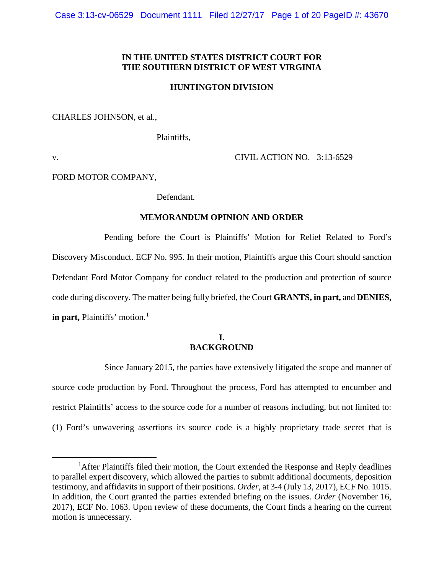## **IN THE UNITED STATES DISTRICT COURT FOR THE SOUTHERN DISTRICT OF WEST VIRGINIA**

### **HUNTINGTON DIVISION**

CHARLES JOHNSON, et al.,

Plaintiffs,

v. CIVIL ACTION NO. 3:13-6529

FORD MOTOR COMPANY,

Defendant.

#### **MEMORANDUM OPINION AND ORDER**

Pending before the Court is Plaintiffs' Motion for Relief Related to Ford's Discovery Misconduct. ECF No. 995. In their motion, Plaintiffs argue this Court should sanction Defendant Ford Motor Company for conduct related to the production and protection of source code during discovery. The matter being fully briefed, the Court **GRANTS, in part,** and **DENIES, in part, Plaintiffs'** motion.<sup>1</sup>

# **I. BACKGROUND**

Since January 2015, the parties have extensively litigated the scope and manner of source code production by Ford. Throughout the process, Ford has attempted to encumber and restrict Plaintiffs' access to the source code for a number of reasons including, but not limited to: (1) Ford's unwavering assertions its source code is a highly proprietary trade secret that is

<sup>1&</sup>lt;sup>1</sup> <sup>1</sup>After Plaintiffs filed their motion, the Court extended the Response and Reply deadlines to parallel expert discovery, which allowed the parties to submit additional documents, deposition testimony, and affidavits in support of their positions. *Order*, at 3-4 (July 13, 2017), ECF No. 1015. In addition, the Court granted the parties extended briefing on the issues. *Order* (November 16, 2017), ECF No. 1063. Upon review of these documents, the Court finds a hearing on the current motion is unnecessary.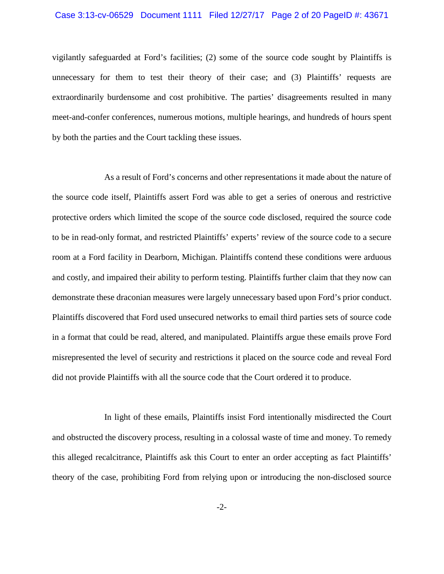## Case 3:13-cv-06529 Document 1111 Filed 12/27/17 Page 2 of 20 PageID #: 43671

vigilantly safeguarded at Ford's facilities; (2) some of the source code sought by Plaintiffs is unnecessary for them to test their theory of their case; and (3) Plaintiffs' requests are extraordinarily burdensome and cost prohibitive. The parties' disagreements resulted in many meet-and-confer conferences, numerous motions, multiple hearings, and hundreds of hours spent by both the parties and the Court tackling these issues.

As a result of Ford's concerns and other representations it made about the nature of the source code itself, Plaintiffs assert Ford was able to get a series of onerous and restrictive protective orders which limited the scope of the source code disclosed, required the source code to be in read-only format, and restricted Plaintiffs' experts' review of the source code to a secure room at a Ford facility in Dearborn, Michigan. Plaintiffs contend these conditions were arduous and costly, and impaired their ability to perform testing. Plaintiffs further claim that they now can demonstrate these draconian measures were largely unnecessary based upon Ford's prior conduct. Plaintiffs discovered that Ford used unsecured networks to email third parties sets of source code in a format that could be read, altered, and manipulated. Plaintiffs argue these emails prove Ford misrepresented the level of security and restrictions it placed on the source code and reveal Ford did not provide Plaintiffs with all the source code that the Court ordered it to produce.

In light of these emails, Plaintiffs insist Ford intentionally misdirected the Court and obstructed the discovery process, resulting in a colossal waste of time and money. To remedy this alleged recalcitrance, Plaintiffs ask this Court to enter an order accepting as fact Plaintiffs' theory of the case, prohibiting Ford from relying upon or introducing the non-disclosed source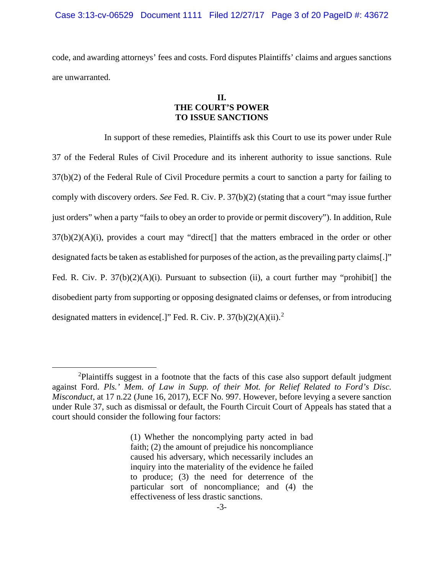code, and awarding attorneys' fees and costs. Ford disputes Plaintiffs' claims and argues sanctions are unwarranted.

# **II. THE COURT'S POWER TO ISSUE SANCTIONS**

In support of these remedies, Plaintiffs ask this Court to use its power under Rule 37 of the Federal Rules of Civil Procedure and its inherent authority to issue sanctions. Rule 37(b)(2) of the Federal Rule of Civil Procedure permits a court to sanction a party for failing to comply with discovery orders. *See* Fed. R. Civ. P. 37(b)(2) (stating that a court "may issue further just orders" when a party "fails to obey an order to provide or permit discovery"). In addition, Rule 37(b)(2)(A)(i), provides a court may "direct[] that the matters embraced in the order or other designated facts be taken as established for purposes of the action, asthe prevailing party claims[.]" Fed. R. Civ. P.  $37(b)(2)(A)(i)$ . Pursuant to subsection (ii), a court further may "prohibit[] the disobedient party from supporting or opposing designated claims or defenses, or from introducing designated matters in evidence[.]" Fed. R. Civ. P.  $37(b)(2)(A)(ii)$ .

 <sup>2</sup> Plaintiffs suggest in a footnote that the facts of this case also support default judgment against Ford. *Pls.' Mem. of Law in Supp. of their Mot. for Relief Related to Ford's Disc. Misconduct*, at 17 n.22 (June 16, 2017), ECF No. 997. However, before levying a severe sanction under Rule 37, such as dismissal or default, the Fourth Circuit Court of Appeals has stated that a court should consider the following four factors:

<sup>(1)</sup> Whether the noncomplying party acted in bad faith; (2) the amount of prejudice his noncompliance caused his adversary, which necessarily includes an inquiry into the materiality of the evidence he failed to produce; (3) the need for deterrence of the particular sort of noncompliance; and (4) the effectiveness of less drastic sanctions.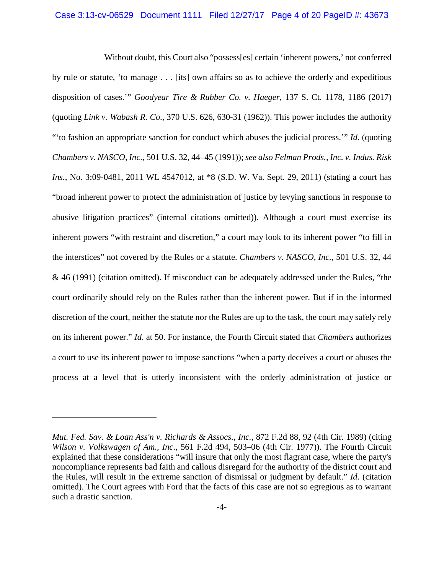Without doubt, this Court also "possess[es] certain 'inherent powers,' not conferred by rule or statute, 'to manage . . . [its] own affairs so as to achieve the orderly and expeditious disposition of cases.'" *Goodyear Tire & Rubber Co. v. Haeger*, 137 S. Ct. 1178, 1186 (2017) (quoting *Link v. Wabash R. Co*., 370 U.S. 626, 630-31 (1962)). This power includes the authority "'to fashion an appropriate sanction for conduct which abuses the judicial process.'" *Id*. (quoting *Chambers v. NASCO, Inc.*, 501 U.S. 32, 44–45 (1991)); *see also Felman Prods., Inc. v. Indus. Risk Ins.*, No. 3:09-0481, 2011 WL 4547012, at \*8 (S.D. W. Va. Sept. 29, 2011) (stating a court has "broad inherent power to protect the administration of justice by levying sanctions in response to abusive litigation practices" (internal citations omitted)). Although a court must exercise its inherent powers "with restraint and discretion," a court may look to its inherent power "to fill in the interstices" not covered by the Rules or a statute. *Chambers v. NASCO, Inc.*, 501 U.S. 32, 44 & 46 (1991) (citation omitted). If misconduct can be adequately addressed under the Rules, "the court ordinarily should rely on the Rules rather than the inherent power. But if in the informed discretion of the court, neither the statute nor the Rules are up to the task, the court may safely rely on its inherent power." *Id*. at 50. For instance, the Fourth Circuit stated that *Chambers* authorizes a court to use its inherent power to impose sanctions "when a party deceives a court or abuses the process at a level that is utterly inconsistent with the orderly administration of justice or

 $\overline{a}$ 

*Mut. Fed. Sav. & Loan Ass'n v. Richards & Assocs., Inc.*, 872 F.2d 88, 92 (4th Cir. 1989) (citing *Wilson v. Volkswagen of Am., Inc*., 561 F.2d 494, 503–06 (4th Cir. 1977)). The Fourth Circuit explained that these considerations "will insure that only the most flagrant case, where the party's noncompliance represents bad faith and callous disregard for the authority of the district court and the Rules, will result in the extreme sanction of dismissal or judgment by default." *Id*. (citation omitted). The Court agrees with Ford that the facts of this case are not so egregious as to warrant such a drastic sanction.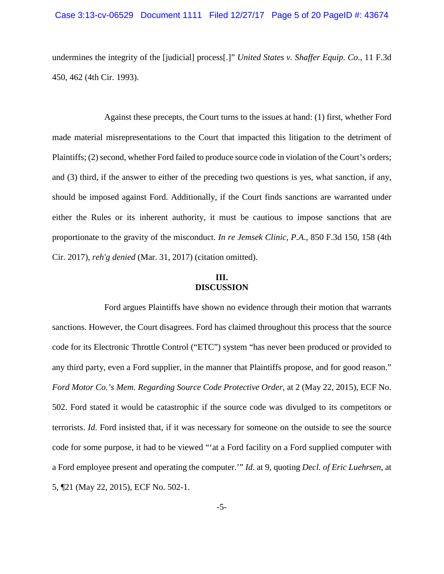## Case 3:13-cv-06529 Document 1111 Filed 12/27/17 Page 5 of 20 PageID #: 43674

undermines the integrity of the [judicial] process[.]" *United States v. Shaffer Equip. Co*., 11 F.3d 450, 462 (4th Cir. 1993).

Against these precepts, the Court turns to the issues at hand: (1) first, whether Ford made material misrepresentations to the Court that impacted this litigation to the detriment of Plaintiffs; (2) second, whether Ford failed to produce source code in violation of the Court's orders; and (3) third, if the answer to either of the preceding two questions is yes, what sanction, if any, should be imposed against Ford. Additionally, if the Court finds sanctions are warranted under either the Rules or its inherent authority, it must be cautious to impose sanctions that are proportionate to the gravity of the misconduct. *In re Jemsek Clinic, P.A*., 850 F.3d 150, 158 (4th Cir. 2017), *reh'g denied* (Mar. 31, 2017) (citation omitted).

## **III. DISCUSSION**

Ford argues Plaintiffs have shown no evidence through their motion that warrants sanctions. However, the Court disagrees. Ford has claimed throughout this process that the source code for its Electronic Throttle Control ("ETC") system "has never been produced or provided to any third party, even a Ford supplier, in the manner that Plaintiffs propose, and for good reason." *Ford Motor Co.'s Mem. Regarding Source Code Protective Order*, at 2 (May 22, 2015), ECF No. 502. Ford stated it would be catastrophic if the source code was divulged to its competitors or terrorists. *Id*. Ford insisted that, if it was necessary for someone on the outside to see the source code for some purpose, it had to be viewed "'at a Ford facility on a Ford supplied computer with a Ford employee present and operating the computer.'" *Id*. at 9, quoting *Decl. of Eric Luehrsen*, at 5, ¶21 (May 22, 2015), ECF No. 502-1.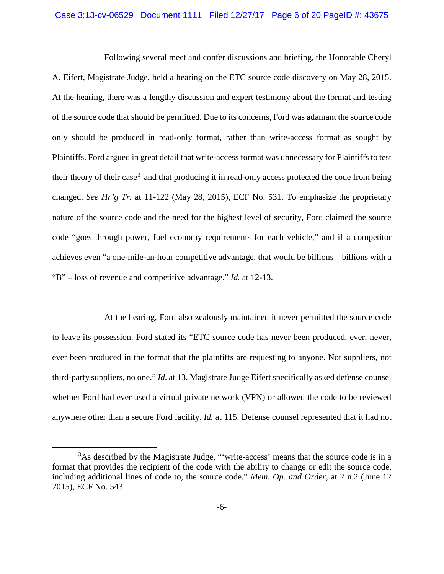#### Case 3:13-cv-06529 Document 1111 Filed 12/27/17 Page 6 of 20 PageID #: 43675

Following several meet and confer discussions and briefing, the Honorable Cheryl A. Eifert, Magistrate Judge, held a hearing on the ETC source code discovery on May 28, 2015. At the hearing, there was a lengthy discussion and expert testimony about the format and testing of the source code that should be permitted. Due to its concerns, Ford was adamant the source code only should be produced in read-only format, rather than write-access format as sought by Plaintiffs. Ford argued in great detail that write-access format was unnecessary for Plaintiffs to test their theory of their case<sup>3</sup> and that producing it in read-only access protected the code from being changed. *See Hr'g Tr.* at 11-122 (May 28, 2015), ECF No. 531. To emphasize the proprietary nature of the source code and the need for the highest level of security, Ford claimed the source code "goes through power, fuel economy requirements for each vehicle," and if a competitor achieves even "a one-mile-an-hour competitive advantage, that would be billions – billions with a "B" – loss of revenue and competitive advantage." *Id.* at 12-13.

At the hearing, Ford also zealously maintained it never permitted the source code to leave its possession. Ford stated its "ETC source code has never been produced, ever, never, ever been produced in the format that the plaintiffs are requesting to anyone. Not suppliers, not third-party suppliers, no one." *Id*. at 13. Magistrate Judge Eifert specifically asked defense counsel whether Ford had ever used a virtual private network (VPN) or allowed the code to be reviewed anywhere other than a secure Ford facility. *Id.* at 115. Defense counsel represented that it had not

 $\frac{1}{3}$ <sup>3</sup>As described by the Magistrate Judge, "'write-access' means that the source code is in a format that provides the recipient of the code with the ability to change or edit the source code, including additional lines of code to, the source code." *Mem. Op. and Order*, at 2 n.2 (June 12 2015), ECF No. 543.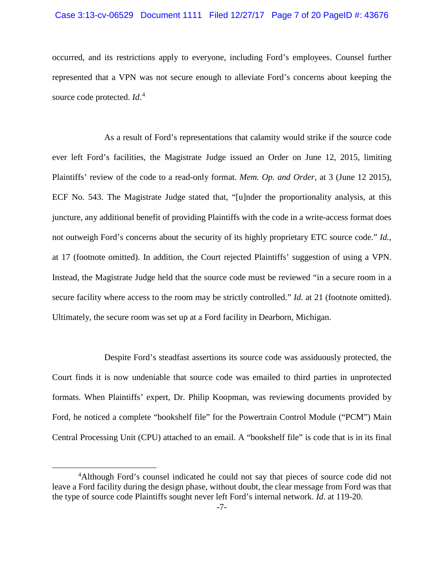#### Case 3:13-cv-06529 Document 1111 Filed 12/27/17 Page 7 of 20 PageID #: 43676

occurred, and its restrictions apply to everyone, including Ford's employees. Counsel further represented that a VPN was not secure enough to alleviate Ford's concerns about keeping the source code protected. *Id*. 4

As a result of Ford's representations that calamity would strike if the source code ever left Ford's facilities, the Magistrate Judge issued an Order on June 12, 2015, limiting Plaintiffs' review of the code to a read-only format. *Mem. Op. and Order*, at 3 (June 12 2015), ECF No. 543. The Magistrate Judge stated that, "[u]nder the proportionality analysis, at this juncture, any additional benefit of providing Plaintiffs with the code in a write-access format does not outweigh Ford's concerns about the security of its highly proprietary ETC source code." *Id.*, at 17 (footnote omitted). In addition, the Court rejected Plaintiffs' suggestion of using a VPN. Instead, the Magistrate Judge held that the source code must be reviewed "in a secure room in a secure facility where access to the room may be strictly controlled." *Id.* at 21 (footnote omitted). Ultimately, the secure room was set up at a Ford facility in Dearborn, Michigan.

Despite Ford's steadfast assertions its source code was assiduously protected, the Court finds it is now undeniable that source code was emailed to third parties in unprotected formats. When Plaintiffs' expert, Dr. Philip Koopman, was reviewing documents provided by Ford, he noticed a complete "bookshelf file" for the Powertrain Control Module ("PCM") Main Central Processing Unit (CPU) attached to an email. A "bookshelf file" is code that is in its final

 $\overline{4}$ <sup>4</sup>Although Ford's counsel indicated he could not say that pieces of source code did not leave a Ford facility during the design phase, without doubt, the clear message from Ford was that the type of source code Plaintiffs sought never left Ford's internal network. *Id*. at 119-20.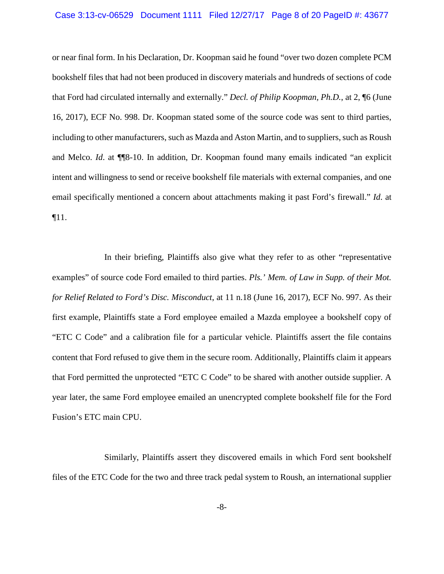#### Case 3:13-cv-06529 Document 1111 Filed 12/27/17 Page 8 of 20 PageID #: 43677

or near final form. In his Declaration, Dr. Koopman said he found "over two dozen complete PCM bookshelf files that had not been produced in discovery materials and hundreds of sections of code that Ford had circulated internally and externally." *Decl. of Philip Koopman, Ph.D.*, at 2, ¶6 (June 16, 2017), ECF No. 998. Dr. Koopman stated some of the source code was sent to third parties, including to other manufacturers, such as Mazda and Aston Martin, and to suppliers, such as Roush and Melco. *Id*. at ¶¶8-10. In addition, Dr. Koopman found many emails indicated "an explicit intent and willingness to send or receive bookshelf file materials with external companies, and one email specifically mentioned a concern about attachments making it past Ford's firewall." *Id*. at ¶11.

In their briefing, Plaintiffs also give what they refer to as other "representative examples" of source code Ford emailed to third parties. *Pls.' Mem. of Law in Supp. of their Mot. for Relief Related to Ford's Disc. Misconduct*, at 11 n.18 (June 16, 2017), ECF No. 997. As their first example, Plaintiffs state a Ford employee emailed a Mazda employee a bookshelf copy of "ETC C Code" and a calibration file for a particular vehicle. Plaintiffs assert the file contains content that Ford refused to give them in the secure room. Additionally, Plaintiffs claim it appears that Ford permitted the unprotected "ETC C Code" to be shared with another outside supplier. A year later, the same Ford employee emailed an unencrypted complete bookshelf file for the Ford Fusion's ETC main CPU.

Similarly, Plaintiffs assert they discovered emails in which Ford sent bookshelf files of the ETC Code for the two and three track pedal system to Roush, an international supplier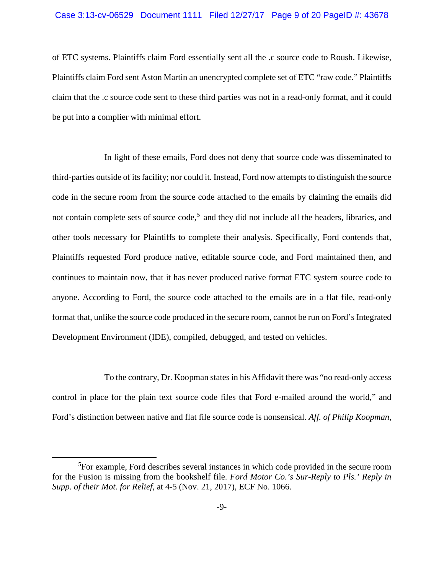#### Case 3:13-cv-06529 Document 1111 Filed 12/27/17 Page 9 of 20 PageID #: 43678

of ETC systems. Plaintiffs claim Ford essentially sent all the .c source code to Roush. Likewise, Plaintiffs claim Ford sent Aston Martin an unencrypted complete set of ETC "raw code." Plaintiffs claim that the .c source code sent to these third parties was not in a read-only format, and it could be put into a complier with minimal effort.

In light of these emails, Ford does not deny that source code was disseminated to third-parties outside of its facility; nor could it. Instead, Ford now attempts to distinguish the source code in the secure room from the source code attached to the emails by claiming the emails did not contain complete sets of source code,<sup>5</sup> and they did not include all the headers, libraries, and other tools necessary for Plaintiffs to complete their analysis. Specifically, Ford contends that, Plaintiffs requested Ford produce native, editable source code, and Ford maintained then, and continues to maintain now, that it has never produced native format ETC system source code to anyone. According to Ford, the source code attached to the emails are in a flat file, read-only format that, unlike the source code produced in the secure room, cannot be run on Ford's Integrated Development Environment (IDE), compiled, debugged, and tested on vehicles.

To the contrary, Dr. Koopman states in his Affidavit there was "no read-only access control in place for the plain text source code files that Ford e-mailed around the world," and Ford's distinction between native and flat file source code is nonsensical. *Aff. of Philip Koopman,* 

 $\frac{1}{5}$ For example, Ford describes several instances in which code provided in the secure room for the Fusion is missing from the bookshelf file. *Ford Motor Co.'s Sur-Reply to Pls.' Reply in Supp. of their Mot. for Relief*, at 4-5 (Nov. 21, 2017), ECF No. 1066.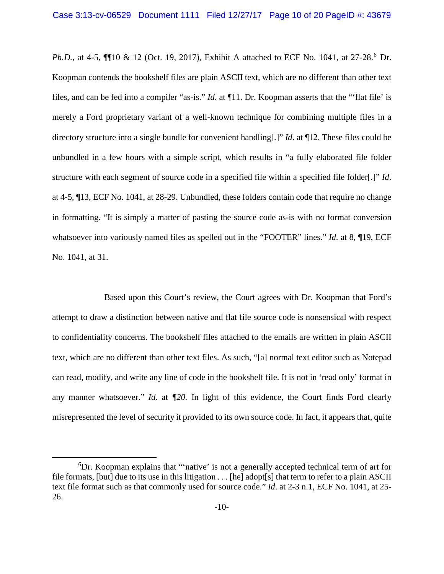*Ph.D.*, at 4-5,  $\P$ [10 & 12 (Oct. 19, 2017), Exhibit A attached to ECF No. 1041, at 27-28.<sup>6</sup> Dr. Koopman contends the bookshelf files are plain ASCII text, which are no different than other text files, and can be fed into a compiler "as-is." *Id*. at ¶11. Dr. Koopman asserts that the "'flat file' is merely a Ford proprietary variant of a well-known technique for combining multiple files in a directory structure into a single bundle for convenient handling[.]" *Id*. at ¶12. These files could be unbundled in a few hours with a simple script, which results in "a fully elaborated file folder structure with each segment of source code in a specified file within a specified file folder[.]" *Id*. at 4-5, ¶13, ECF No. 1041, at 28-29. Unbundled, these folders contain code that require no change in formatting. "It is simply a matter of pasting the source code as-is with no format conversion whatsoever into variously named files as spelled out in the "FOOTER" lines." *Id*. at 8, ¶19, ECF No. 1041, at 31.

Based upon this Court's review, the Court agrees with Dr. Koopman that Ford's attempt to draw a distinction between native and flat file source code is nonsensical with respect to confidentiality concerns. The bookshelf files attached to the emails are written in plain ASCII text, which are no different than other text files. As such, "[a] normal text editor such as Notepad can read, modify, and write any line of code in the bookshelf file. It is not in 'read only' format in any manner whatsoever." *Id.* at *¶20.* In light of this evidence, the Court finds Ford clearly misrepresented the level of security it provided to its own source code. In fact, it appears that, quite

 <sup>6</sup> <sup>6</sup>Dr. Koopman explains that "'native' is not a generally accepted technical term of art for file formats, [but] due to its use in this litigation  $\dots$  [he] adopt[s] that term to refer to a plain ASCII text file format such as that commonly used for source code." *Id*. at 2-3 n.1, ECF No. 1041, at 25- 26.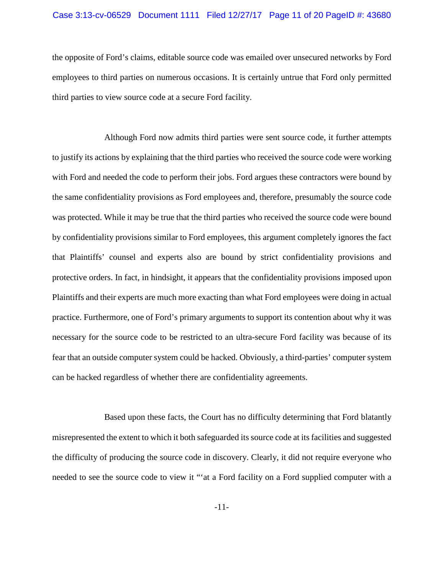## Case 3:13-cv-06529 Document 1111 Filed 12/27/17 Page 11 of 20 PageID #: 43680

the opposite of Ford's claims, editable source code was emailed over unsecured networks by Ford employees to third parties on numerous occasions. It is certainly untrue that Ford only permitted third parties to view source code at a secure Ford facility.

Although Ford now admits third parties were sent source code, it further attempts to justify its actions by explaining that the third parties who received the source code were working with Ford and needed the code to perform their jobs. Ford argues these contractors were bound by the same confidentiality provisions as Ford employees and, therefore, presumably the source code was protected. While it may be true that the third parties who received the source code were bound by confidentiality provisions similar to Ford employees, this argument completely ignores the fact that Plaintiffs' counsel and experts also are bound by strict confidentiality provisions and protective orders. In fact, in hindsight, it appears that the confidentiality provisions imposed upon Plaintiffs and their experts are much more exacting than what Ford employees were doing in actual practice. Furthermore, one of Ford's primary arguments to support its contention about why it was necessary for the source code to be restricted to an ultra-secure Ford facility was because of its fear that an outside computer system could be hacked. Obviously, a third-parties' computer system can be hacked regardless of whether there are confidentiality agreements.

Based upon these facts, the Court has no difficulty determining that Ford blatantly misrepresented the extent to which it both safeguarded its source code at its facilities and suggested the difficulty of producing the source code in discovery. Clearly, it did not require everyone who needed to see the source code to view it "'at a Ford facility on a Ford supplied computer with a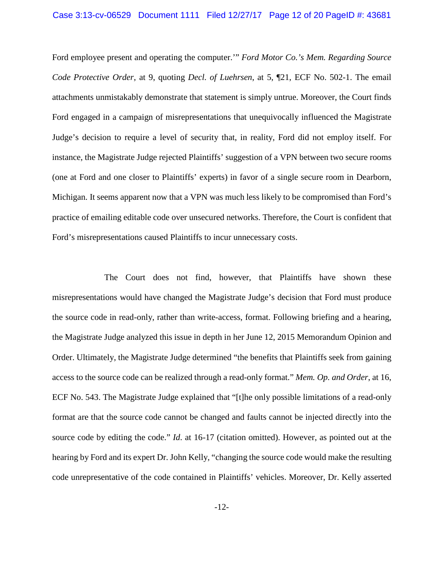Ford employee present and operating the computer.'" *Ford Motor Co.'s Mem. Regarding Source Code Protective Order*, at 9, quoting *Decl. of Luehrsen*, at 5, ¶21, ECF No. 502-1. The email attachments unmistakably demonstrate that statement is simply untrue. Moreover, the Court finds Ford engaged in a campaign of misrepresentations that unequivocally influenced the Magistrate Judge's decision to require a level of security that, in reality, Ford did not employ itself. For instance, the Magistrate Judge rejected Plaintiffs' suggestion of a VPN between two secure rooms (one at Ford and one closer to Plaintiffs' experts) in favor of a single secure room in Dearborn, Michigan. It seems apparent now that a VPN was much less likely to be compromised than Ford's practice of emailing editable code over unsecured networks. Therefore, the Court is confident that Ford's misrepresentations caused Plaintiffs to incur unnecessary costs.

The Court does not find, however, that Plaintiffs have shown these misrepresentations would have changed the Magistrate Judge's decision that Ford must produce the source code in read-only, rather than write-access, format. Following briefing and a hearing, the Magistrate Judge analyzed this issue in depth in her June 12, 2015 Memorandum Opinion and Order. Ultimately, the Magistrate Judge determined "the benefits that Plaintiffs seek from gaining access to the source code can be realized through a read-only format." *Mem. Op. and Order*, at 16, ECF No. 543. The Magistrate Judge explained that "[t]he only possible limitations of a read-only format are that the source code cannot be changed and faults cannot be injected directly into the source code by editing the code." *Id*. at 16-17 (citation omitted). However, as pointed out at the hearing by Ford and its expert Dr. John Kelly, "changing the source code would make the resulting code unrepresentative of the code contained in Plaintiffs' vehicles. Moreover, Dr. Kelly asserted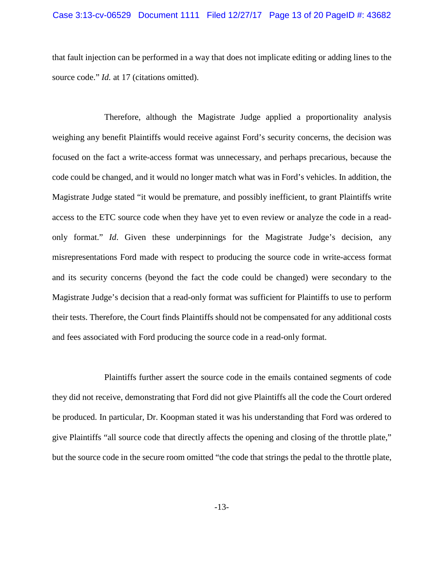## Case 3:13-cv-06529 Document 1111 Filed 12/27/17 Page 13 of 20 PageID #: 43682

that fault injection can be performed in a way that does not implicate editing or adding lines to the source code." *Id.* at 17 (citations omitted).

Therefore, although the Magistrate Judge applied a proportionality analysis weighing any benefit Plaintiffs would receive against Ford's security concerns, the decision was focused on the fact a write-access format was unnecessary, and perhaps precarious, because the code could be changed, and it would no longer match what was in Ford's vehicles. In addition, the Magistrate Judge stated "it would be premature, and possibly inefficient, to grant Plaintiffs write access to the ETC source code when they have yet to even review or analyze the code in a readonly format." *Id*. Given these underpinnings for the Magistrate Judge's decision, any misrepresentations Ford made with respect to producing the source code in write-access format and its security concerns (beyond the fact the code could be changed) were secondary to the Magistrate Judge's decision that a read-only format was sufficient for Plaintiffs to use to perform their tests. Therefore, the Court finds Plaintiffs should not be compensated for any additional costs and fees associated with Ford producing the source code in a read-only format.

Plaintiffs further assert the source code in the emails contained segments of code they did not receive, demonstrating that Ford did not give Plaintiffs all the code the Court ordered be produced. In particular, Dr. Koopman stated it was his understanding that Ford was ordered to give Plaintiffs "all source code that directly affects the opening and closing of the throttle plate," but the source code in the secure room omitted "the code that strings the pedal to the throttle plate,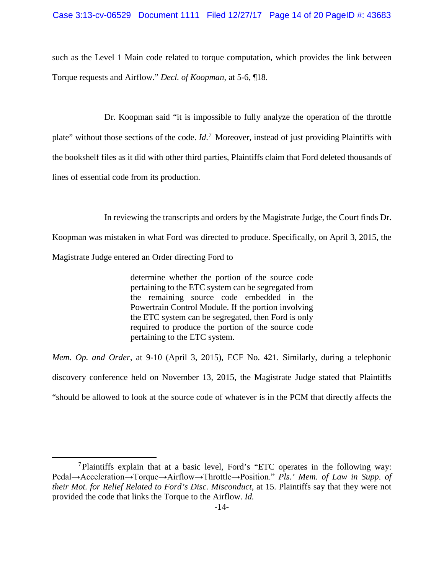such as the Level 1 Main code related to torque computation, which provides the link between Torque requests and Airflow." *Decl. of Koopman*, at 5-6, ¶18.

Dr. Koopman said "it is impossible to fully analyze the operation of the throttle plate" without those sections of the code. *Id*. <sup>7</sup> Moreover, instead of just providing Plaintiffs with the bookshelf files as it did with other third parties, Plaintiffs claim that Ford deleted thousands of lines of essential code from its production.

In reviewing the transcripts and orders by the Magistrate Judge, the Court finds Dr.

Koopman was mistaken in what Ford was directed to produce. Specifically, on April 3, 2015, the Magistrate Judge entered an Order directing Ford to

> determine whether the portion of the source code pertaining to the ETC system can be segregated from the remaining source code embedded in the Powertrain Control Module. If the portion involving the ETC system can be segregated, then Ford is only required to produce the portion of the source code pertaining to the ETC system.

*Mem. Op. and Order*, at 9-10 (April 3, 2015), ECF No. 421. Similarly, during a telephonic discovery conference held on November 13, 2015, the Magistrate Judge stated that Plaintiffs "should be allowed to look at the source code of whatever is in the PCM that directly affects the

 <sup>7</sup>Plaintiffs explain that at a basic level, Ford's "ETC operates in the following way: Pedal→Acceleration→Torque→Airflow→Throttle→Position." *Pls.' Mem. of Law in Supp. of their Mot. for Relief Related to Ford's Disc. Misconduct*, at 15. Plaintiffs say that they were not provided the code that links the Torque to the Airflow. *Id.*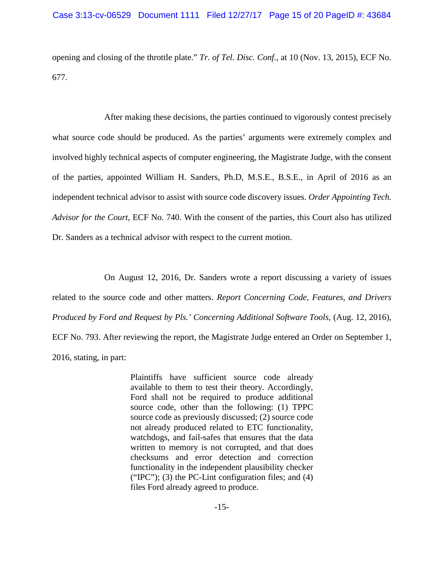opening and closing of the throttle plate." *Tr. of Tel. Disc. Conf.*, at 10 (Nov. 13, 2015), ECF No. 677.

After making these decisions, the parties continued to vigorously contest precisely what source code should be produced. As the parties' arguments were extremely complex and involved highly technical aspects of computer engineering, the Magistrate Judge, with the consent of the parties, appointed William H. Sanders, Ph.D, M.S.E., B.S.E., in April of 2016 as an independent technical advisor to assist with source code discovery issues. *Order Appointing Tech. Advisor for the Court*, ECF No. 740. With the consent of the parties, this Court also has utilized Dr. Sanders as a technical advisor with respect to the current motion.

On August 12, 2016, Dr. Sanders wrote a report discussing a variety of issues related to the source code and other matters. *Report Concerning Code, Features, and Drivers Produced by Ford and Request by Pls.' Concerning Additional Software Tools, (Aug. 12, 2016),* ECF No. 793. After reviewing the report, the Magistrate Judge entered an Order on September 1, 2016, stating, in part:

> Plaintiffs have sufficient source code already available to them to test their theory. Accordingly, Ford shall not be required to produce additional source code, other than the following: (1) TPPC source code as previously discussed; (2) source code not already produced related to ETC functionality, watchdogs, and fail-safes that ensures that the data written to memory is not corrupted, and that does checksums and error detection and correction functionality in the independent plausibility checker ("IPC"); (3) the PC-Lint configuration files; and  $(4)$ files Ford already agreed to produce.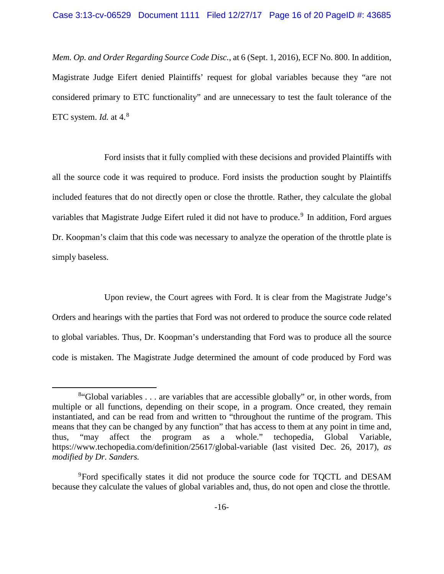*Mem. Op. and Order Regarding Source Code Disc.*, at 6 (Sept. 1, 2016), ECF No. 800. In addition, Magistrate Judge Eifert denied Plaintiffs' request for global variables because they "are not considered primary to ETC functionality" and are unnecessary to test the fault tolerance of the ETC system. *Id.* at 4. 8

Ford insists that it fully complied with these decisions and provided Plaintiffs with all the source code it was required to produce. Ford insists the production sought by Plaintiffs included features that do not directly open or close the throttle. Rather, they calculate the global variables that Magistrate Judge Eifert ruled it did not have to produce.<sup>9</sup> In addition, Ford argues Dr. Koopman's claim that this code was necessary to analyze the operation of the throttle plate is simply baseless.

Upon review, the Court agrees with Ford. It is clear from the Magistrate Judge's Orders and hearings with the parties that Ford was not ordered to produce the source code related to global variables. Thus, Dr. Koopman's understanding that Ford was to produce all the source code is mistaken. The Magistrate Judge determined the amount of code produced by Ford was

 <sup>8</sup>  $8$ "Global variables . . . are variables that are accessible globally" or, in other words, from multiple or all functions, depending on their scope, in a program. Once created, they remain instantiated, and can be read from and written to "throughout the runtime of the program. This means that they can be changed by any function" that has access to them at any point in time and, thus, "may affect the program as a whole." techopedia, Global Variable, https://www.techopedia.com/definition/25617/global-variable (last visited Dec. 26, 2017), *as modified by Dr. Sanders.*

<sup>&</sup>lt;sup>9</sup>Ford specifically states it did not produce the source code for TQCTL and DESAM because they calculate the values of global variables and, thus, do not open and close the throttle.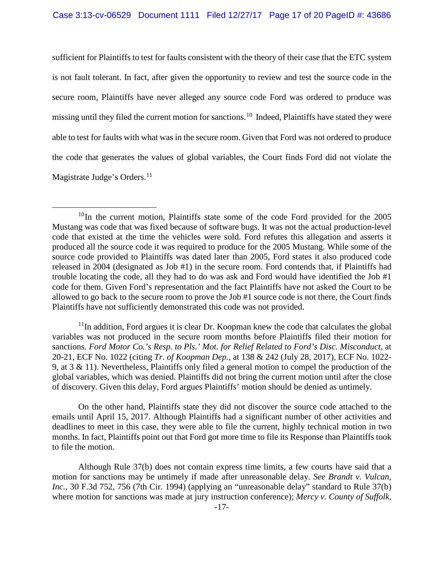sufficient for Plaintiffs to test for faults consistent with the theory of their case that the ETC system is not fault tolerant. In fact, after given the opportunity to review and test the source code in the secure room, Plaintiffs have never alleged any source code Ford was ordered to produce was missing until they filed the current motion for sanctions.<sup>10</sup> Indeed, Plaintiffs have stated they were able to test for faults with what was in the secure room. Given that Ford was not ordered to produce the code that generates the values of global variables, the Court finds Ford did not violate the Magistrate Judge's Orders.<sup>11</sup>

 $11$ In addition, Ford argues it is clear Dr. Koopman knew the code that calculates the global variables was not produced in the secure room months before Plaintiffs filed their motion for sanctions. *Ford Motor Co.'s Resp. to Pls.' Mot. for Relief Related to Ford's Disc. Misconduct*, at 20-21, ECF No. 1022 (citing *Tr. of Koopman Dep.*, at 138 & 242 (July 28, 2017), ECF No. 1022- 9, at 3 & 11). Nevertheless, Plaintiffs only filed a general motion to compel the production of the global variables, which was denied. Plaintiffs did not bring the current motion until after the close of discovery. Given this delay, Ford argues Plaintiffs' motion should be denied as untimely.

On the other hand, Plaintiffs state they did not discover the source code attached to the emails until April 15, 2017. Although Plaintiffs had a significant number of other activities and deadlines to meet in this case, they were able to file the current, highly technical motion in two months. In fact, Plaintiffs point out that Ford got more time to file its Response than Plaintiffs took to file the motion.

Although Rule 37(b) does not contain express time limits, a few courts have said that a motion for sanctions may be untimely if made after unreasonable delay. *See Brandt v. Vulcan, Inc.,* 30 F.3d 752, 756 (7th Cir. 1994) (applying an "unreasonable delay" standard to Rule 37(b) where motion for sanctions was made at jury instruction conference); *Mercy v. County of Suffolk,* 

 $10$ In the current motion, Plaintiffs state some of the code Ford provided for the 2005 Mustang was code that was fixed because of software bugs. It was not the actual production-level code that existed at the time the vehicles were sold. Ford refutes this allegation and asserts it produced all the source code it was required to produce for the 2005 Mustang. While some of the source code provided to Plaintiffs was dated later than 2005, Ford states it also produced code released in 2004 (designated as Job #1) in the secure room. Ford contends that, if Plaintiffs had trouble locating the code, all they had to do was ask and Ford would have identified the Job #1 code for them. Given Ford's representation and the fact Plaintiffs have not asked the Court to be allowed to go back to the secure room to prove the Job #1 source code is not there, the Court finds Plaintiffs have not sufficiently demonstrated this code was not provided.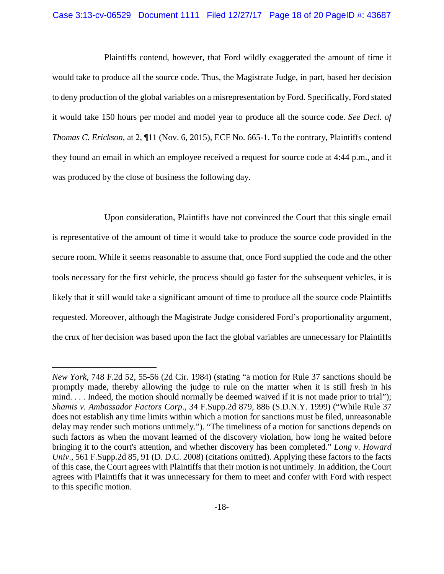### Case 3:13-cv-06529 Document 1111 Filed 12/27/17 Page 18 of 20 PageID #: 43687

Plaintiffs contend, however, that Ford wildly exaggerated the amount of time it would take to produce all the source code. Thus, the Magistrate Judge, in part, based her decision to deny production of the global variables on a misrepresentation by Ford. Specifically, Ford stated it would take 150 hours per model and model year to produce all the source code. *See Decl. of Thomas C. Erickson*, at 2, ¶11 (Nov. 6, 2015), ECF No. 665-1. To the contrary, Plaintiffs contend they found an email in which an employee received a request for source code at 4:44 p.m., and it was produced by the close of business the following day.

Upon consideration, Plaintiffs have not convinced the Court that this single email is representative of the amount of time it would take to produce the source code provided in the secure room. While it seems reasonable to assume that, once Ford supplied the code and the other tools necessary for the first vehicle, the process should go faster for the subsequent vehicles, it is likely that it still would take a significant amount of time to produce all the source code Plaintiffs requested. Moreover, although the Magistrate Judge considered Ford's proportionality argument, the crux of her decision was based upon the fact the global variables are unnecessary for Plaintiffs

 $\overline{a}$ 

*New York*, 748 F.2d 52, 55-56 (2d Cir. 1984) (stating "a motion for Rule 37 sanctions should be promptly made, thereby allowing the judge to rule on the matter when it is still fresh in his mind. . . . Indeed, the motion should normally be deemed waived if it is not made prior to trial"); *Shamis v. Ambassador Factors Corp*., 34 F.Supp.2d 879, 886 (S.D.N.Y. 1999) ("While Rule 37 does not establish any time limits within which a motion for sanctions must be filed, unreasonable delay may render such motions untimely."). "The timeliness of a motion for sanctions depends on such factors as when the movant learned of the discovery violation, how long he waited before bringing it to the court's attention, and whether discovery has been completed." *Long v. Howard Univ*., 561 F.Supp.2d 85, 91 (D. D.C. 2008) (citations omitted). Applying these factors to the facts of this case, the Court agrees with Plaintiffs that their motion is not untimely. In addition, the Court agrees with Plaintiffs that it was unnecessary for them to meet and confer with Ford with respect to this specific motion.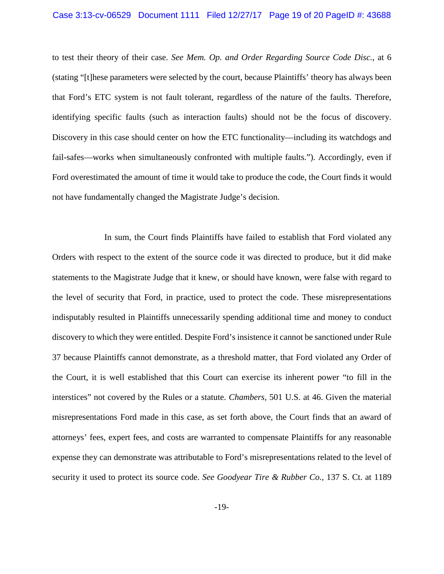### Case 3:13-cv-06529 Document 1111 Filed 12/27/17 Page 19 of 20 PageID #: 43688

to test their theory of their case. *See Mem. Op. and Order Regarding Source Code Disc.*, at 6 (stating "[t]hese parameters were selected by the court, because Plaintiffs' theory has always been that Ford's ETC system is not fault tolerant, regardless of the nature of the faults. Therefore, identifying specific faults (such as interaction faults) should not be the focus of discovery. Discovery in this case should center on how the ETC functionality—including its watchdogs and fail-safes—works when simultaneously confronted with multiple faults."). Accordingly, even if Ford overestimated the amount of time it would take to produce the code, the Court finds it would not have fundamentally changed the Magistrate Judge's decision.

In sum, the Court finds Plaintiffs have failed to establish that Ford violated any Orders with respect to the extent of the source code it was directed to produce, but it did make statements to the Magistrate Judge that it knew, or should have known, were false with regard to the level of security that Ford, in practice, used to protect the code. These misrepresentations indisputably resulted in Plaintiffs unnecessarily spending additional time and money to conduct discovery to which they were entitled. Despite Ford's insistence it cannot be sanctioned under Rule 37 because Plaintiffs cannot demonstrate, as a threshold matter, that Ford violated any Order of the Court, it is well established that this Court can exercise its inherent power "to fill in the interstices" not covered by the Rules or a statute. *Chambers*, 501 U.S. at 46. Given the material misrepresentations Ford made in this case, as set forth above, the Court finds that an award of attorneys' fees, expert fees, and costs are warranted to compensate Plaintiffs for any reasonable expense they can demonstrate was attributable to Ford's misrepresentations related to the level of security it used to protect its source code. *See Goodyear Tire & Rubber Co.,* 137 S. Ct. at 1189